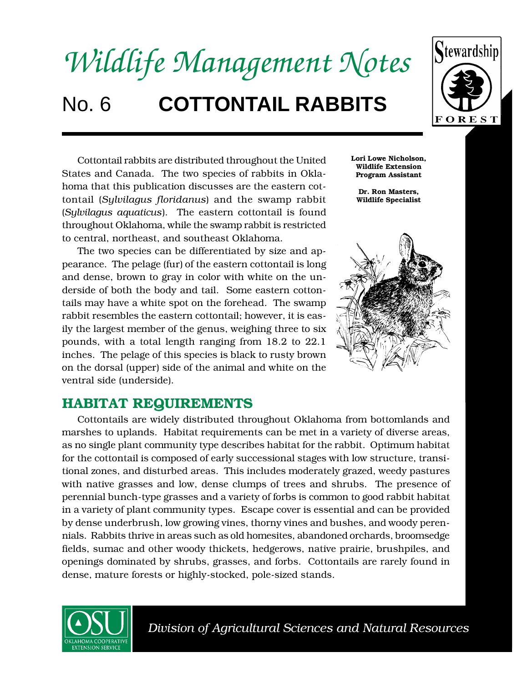



Cottontail rabbits are distributed throughout the United States and Canada. The two species of rabbits in Oklahoma that this publication discusses are the eastern cottontail (*Sylvilagus floridanus*) and the swamp rabbit (*Sylvilagus aquaticus*). The eastern cottontail is found throughout Oklahoma, while the swamp rabbit is restricted to central, northeast, and southeast Oklahoma.

The two species can be differentiated by size and appearance. The pelage (fur) of the eastern cottontail is long and dense, brown to gray in color with white on the underside of both the body and tail. Some eastern cottontails may have a white spot on the forehead. The swamp rabbit resembles the eastern cottontail; however, it is easily the largest member of the genus, weighing three to six pounds, with a total length ranging from 18.2 to 22.1 inches. The pelage of this species is black to rusty brown on the dorsal (upper) side of the animal and white on the ventral side (underside).

**Lori Lowe Nicholson, Wildlife Extension Program Assistant**

**Dr. Ron Masters, Wildlife Specialist**



## **HABITAT REQUIREMENTS**

Cottontails are widely distributed throughout Oklahoma from bottomlands and marshes to uplands. Habitat requirements can be met in a variety of diverse areas, as no single plant community type describes habitat for the rabbit. Optimum habitat for the cottontail is composed of early successional stages with low structure, transitional zones, and disturbed areas. This includes moderately grazed, weedy pastures with native grasses and low, dense clumps of trees and shrubs. The presence of perennial bunch-type grasses and a variety of forbs is common to good rabbit habitat in a variety of plant community types. Escape cover is essential and can be provided by dense underbrush, low growing vines, thorny vines and bushes, and woody perennials. Rabbits thrive in areas such as old homesites, abandoned orchards, broomsedge fields, sumac and other woody thickets, hedgerows, native prairie, brushpiles, and openings dominated by shrubs, grasses, and forbs. Cottontails are rarely found in dense, mature forests or highly-stocked, pole-sized stands.



 *Division of Agricultural Sciences and Natural Resources* ▲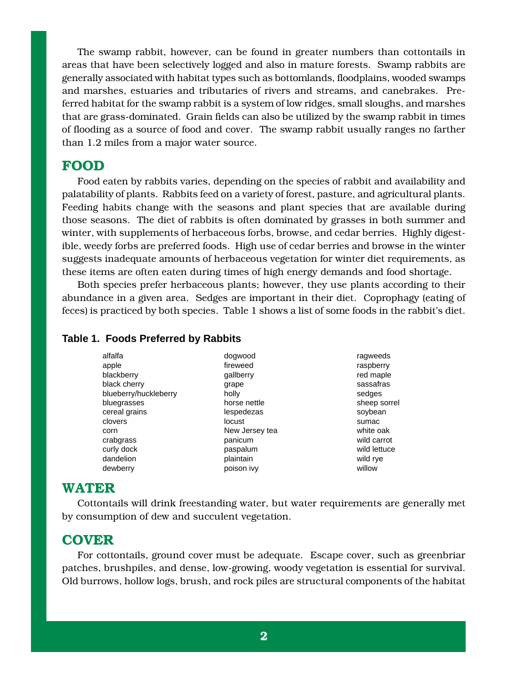The swamp rabbit, however, can be found in greater numbers than cottontails in areas that have been selectively logged and also in mature forests. Swamp rabbits are generally associated with habitat types such as bottomlands, floodplains, wooded swamps and marshes, estuaries and tributaries of rivers and streams, and canebrakes. Preferred habitat for the swamp rabbit is a system of low ridges, small sloughs, and marshes that are grass-dominated. Grain fields can also be utilized by the swamp rabbit in times of flooding as a source of food and cover. The swamp rabbit usually ranges no farther than 1.2 miles from a major water source.

#### **FOOD**

Food eaten by rabbits varies, depending on the species of rabbit and availability and palatability of plants. Rabbits feed on a variety of forest, pasture, and agricultural plants. Feeding habits change with the seasons and plant species that are available during those seasons. The diet of rabbits is often dominated by grasses in both summer and winter, with supplements of herbaceous forbs, browse, and cedar berries. Highly digestible, weedy forbs are preferred foods. High use of cedar berries and browse in the winter suggests inadequate amounts of herbaceous vegetation for winter diet requirements, as these items are often eaten during times of high energy demands and food shortage.

Both species prefer herbaceous plants; however, they use plants according to their abundance in a given area. Sedges are important in their diet. Coprophagy (eating of feces) is practiced by both species. Table 1 shows a list of some foods in the rabbit's diet.

#### **Table 1. Foods Preferred by Rabbits**

| alfalfa               |
|-----------------------|
| apple                 |
| blackberry            |
| black cherry          |
| blueberry/huckleberry |
| bluegrasses           |
| cereal grains         |
| clovers               |
| corn                  |
| crabgrass             |
| curly dock            |
| dandelion             |
| dewberry              |

dogwood fireweed gallberry grape holly horse nettle lespedezas locust New Jersey tea panicum paspalum plaintain poison ivy

ragweeds raspberry red maple sassafras sedges sheep sorrel soybean sumac white oak wild carrot wild lettuce wild rye willow

### **WATER**

Cottontails will drink freestanding water, but water requirements are generally met by consumption of dew and succulent vegetation.

## **COVER**

For cottontails, ground cover must be adequate. Escape cover, such as greenbriar patches, brushpiles, and dense, low-growing, woody vegetation is essential for survival. Old burrows, hollow logs, brush, and rock piles are structural components of the habitat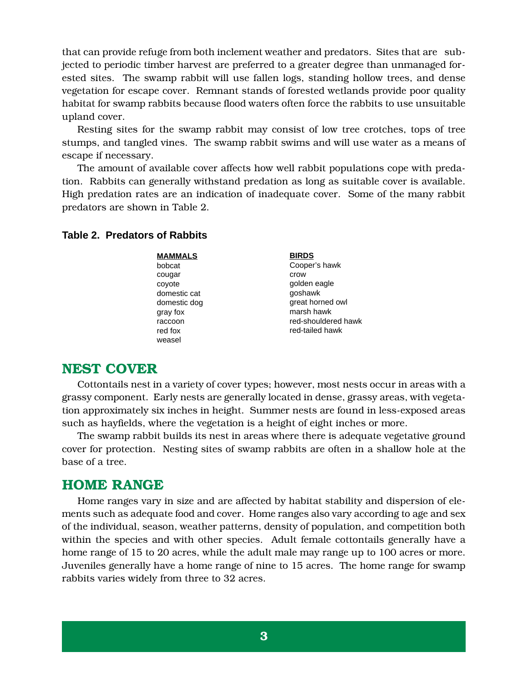that can provide refuge from both inclement weather and predators. Sites that are subjected to periodic timber harvest are preferred to a greater degree than unmanaged forested sites. The swamp rabbit will use fallen logs, standing hollow trees, and dense vegetation for escape cover. Remnant stands of forested wetlands provide poor quality habitat for swamp rabbits because flood waters often force the rabbits to use unsuitable upland cover.

Resting sites for the swamp rabbit may consist of low tree crotches, tops of tree stumps, and tangled vines. The swamp rabbit swims and will use water as a means of escape if necessary.

The amount of available cover affects how well rabbit populations cope with predation. Rabbits can generally withstand predation as long as suitable cover is available. High predation rates are an indication of inadequate cover. Some of the many rabbit predators are shown in Table 2.

#### **Table 2. Predators of Rabbits**

**MAMMALS** bobcat cougar coyote domestic cat domestic dog gray fox raccoon red fox weasel

**BIRDS** Cooper's hawk crow golden eagle goshawk great horned owl marsh hawk red-shouldered hawk red-tailed hawk

### **NEST COVER**

Cottontails nest in a variety of cover types; however, most nests occur in areas with a grassy component. Early nests are generally located in dense, grassy areas, with vegetation approximately six inches in height. Summer nests are found in less-exposed areas such as hayfields, where the vegetation is a height of eight inches or more.

The swamp rabbit builds its nest in areas where there is adequate vegetative ground cover for protection. Nesting sites of swamp rabbits are often in a shallow hole at the base of a tree.

### **HOME RANGE**

Home ranges vary in size and are affected by habitat stability and dispersion of elements such as adequate food and cover. Home ranges also vary according to age and sex of the individual, season, weather patterns, density of population, and competition both within the species and with other species. Adult female cottontails generally have a home range of 15 to 20 acres, while the adult male may range up to 100 acres or more. Juveniles generally have a home range of nine to 15 acres. The home range for swamp rabbits varies widely from three to 32 acres.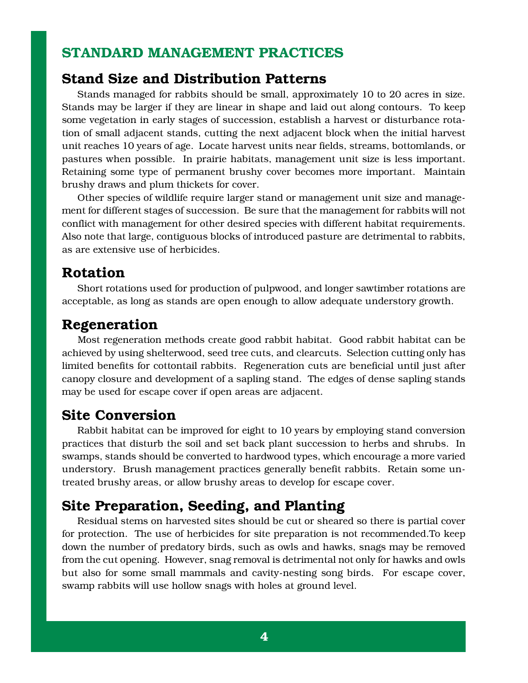# **STANDARD MANAGEMENT PRACTICES**

### **Stand Size and Distribution Patterns**

Stands managed for rabbits should be small, approximately 10 to 20 acres in size. Stands may be larger if they are linear in shape and laid out along contours. To keep some vegetation in early stages of succession, establish a harvest or disturbance rotation of small adjacent stands, cutting the next adjacent block when the initial harvest unit reaches 10 years of age. Locate harvest units near fields, streams, bottomlands, or pastures when possible. In prairie habitats, management unit size is less important. Retaining some type of permanent brushy cover becomes more important. Maintain brushy draws and plum thickets for cover.

Other species of wildlife require larger stand or management unit size and management for different stages of succession. Be sure that the management for rabbits will not conflict with management for other desired species with different habitat requirements. Also note that large, contiguous blocks of introduced pasture are detrimental to rabbits, as are extensive use of herbicides.

## **Rotation**

Short rotations used for production of pulpwood, and longer sawtimber rotations are acceptable, as long as stands are open enough to allow adequate understory growth.

# **Regeneration**

Most regeneration methods create good rabbit habitat. Good rabbit habitat can be achieved by using shelterwood, seed tree cuts, and clearcuts. Selection cutting only has limited benefits for cottontail rabbits. Regeneration cuts are beneficial until just after canopy closure and development of a sapling stand. The edges of dense sapling stands may be used for escape cover if open areas are adjacent.

## **Site Conversion**

Rabbit habitat can be improved for eight to 10 years by employing stand conversion practices that disturb the soil and set back plant succession to herbs and shrubs. In swamps, stands should be converted to hardwood types, which encourage a more varied understory. Brush management practices generally benefit rabbits. Retain some untreated brushy areas, or allow brushy areas to develop for escape cover.

# **Site Preparation, Seeding, and Planting**

Residual stems on harvested sites should be cut or sheared so there is partial cover for protection. The use of herbicides for site preparation is not recommended.To keep down the number of predatory birds, such as owls and hawks, snags may be removed from the cut opening. However, snag removal is detrimental not only for hawks and owls but also for some small mammals and cavity-nesting song birds. For escape cover, swamp rabbits will use hollow snags with holes at ground level.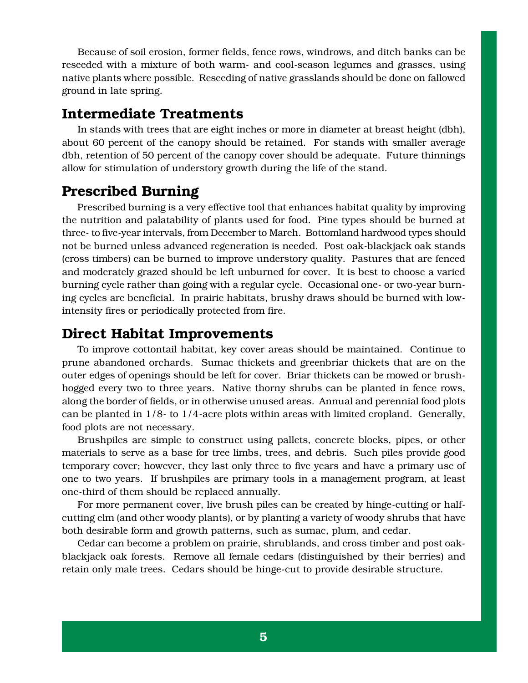Because of soil erosion, former fields, fence rows, windrows, and ditch banks can be reseeded with a mixture of both warm- and cool-season legumes and grasses, using native plants where possible. Reseeding of native grasslands should be done on fallowed ground in late spring.

# **Intermediate Treatments**

In stands with trees that are eight inches or more in diameter at breast height (dbh), about 60 percent of the canopy should be retained. For stands with smaller average dbh, retention of 50 percent of the canopy cover should be adequate. Future thinnings allow for stimulation of understory growth during the life of the stand.

# **Prescribed Burning**

Prescribed burning is a very effective tool that enhances habitat quality by improving the nutrition and palatability of plants used for food. Pine types should be burned at three- to five-year intervals, from December to March. Bottomland hardwood types should not be burned unless advanced regeneration is needed. Post oak-blackjack oak stands (cross timbers) can be burned to improve understory quality. Pastures that are fenced and moderately grazed should be left unburned for cover. It is best to choose a varied burning cycle rather than going with a regular cycle. Occasional one- or two-year burning cycles are beneficial. In prairie habitats, brushy draws should be burned with lowintensity fires or periodically protected from fire.

# **Direct Habitat Improvements**

To improve cottontail habitat, key cover areas should be maintained. Continue to prune abandoned orchards. Sumac thickets and greenbriar thickets that are on the outer edges of openings should be left for cover. Briar thickets can be mowed or brushhogged every two to three years. Native thorny shrubs can be planted in fence rows, along the border of fields, or in otherwise unused areas. Annual and perennial food plots can be planted in  $1/8$ - to  $1/4$ -acre plots within areas with limited cropland. Generally, food plots are not necessary.

Brushpiles are simple to construct using pallets, concrete blocks, pipes, or other materials to serve as a base for tree limbs, trees, and debris. Such piles provide good temporary cover; however, they last only three to five years and have a primary use of one to two years. If brushpiles are primary tools in a management program, at least one-third of them should be replaced annually.

For more permanent cover, live brush piles can be created by hinge-cutting or halfcutting elm (and other woody plants), or by planting a variety of woody shrubs that have both desirable form and growth patterns, such as sumac, plum, and cedar.

Cedar can become a problem on prairie, shrublands, and cross timber and post oakblackjack oak forests. Remove all female cedars (distinguished by their berries) and retain only male trees. Cedars should be hinge-cut to provide desirable structure.